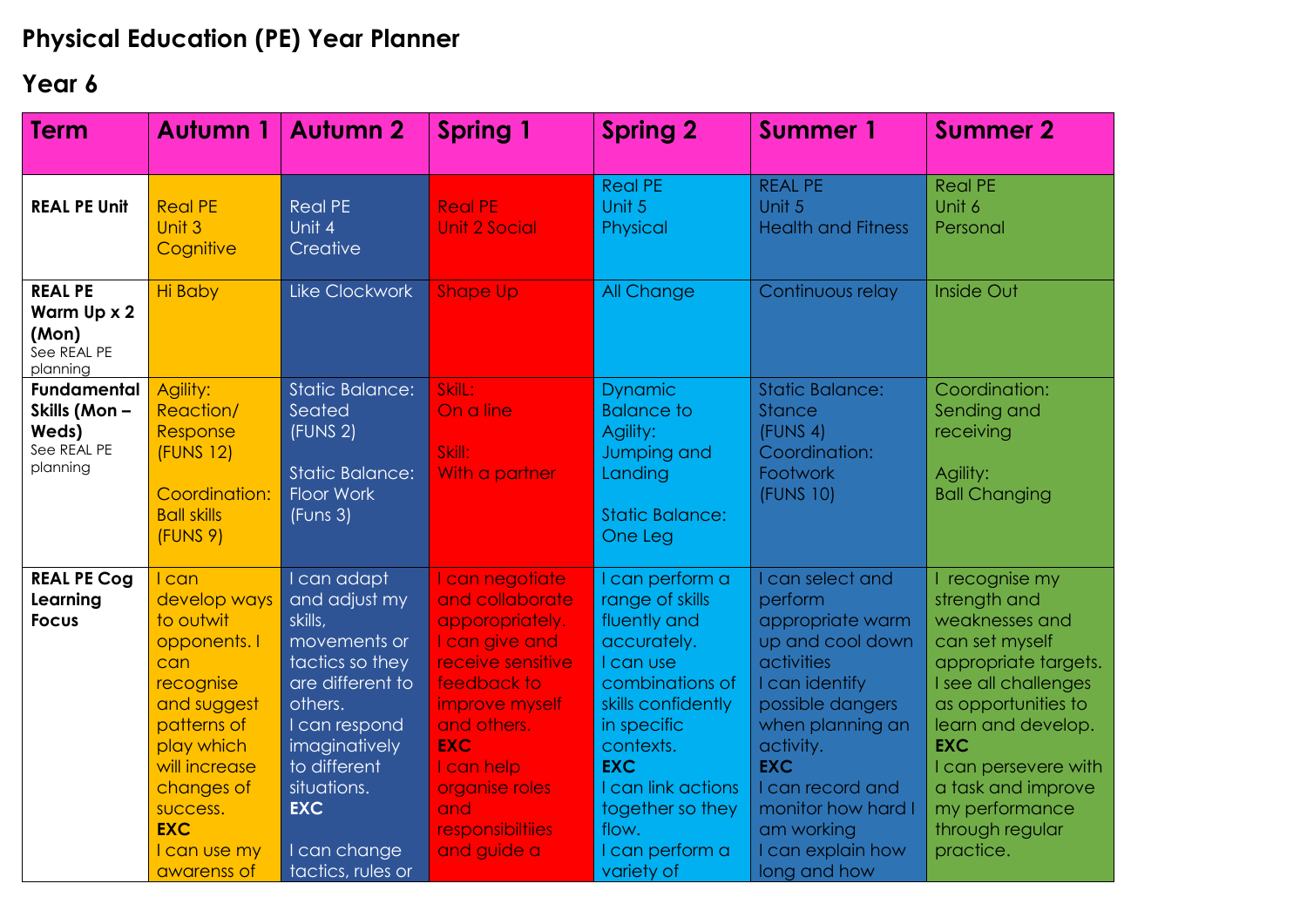## **Physical Education (PE) Year Planner**

## **Year 6**

| <b>Term</b>                                                            | Autumn 1                                                                                                                                                                                                        | <b>Autumn 2</b>                                                                                                                                                                                                               | <b>Spring 1</b>                                                                                                                                                                                                                             | <b>Spring 2</b>                                                                                                                                                                                                                                       | <b>Summer 1</b>                                                                                                                                                                                                                                                     | <b>Summer 2</b>                                                                                                                                                                                                                                                               |
|------------------------------------------------------------------------|-----------------------------------------------------------------------------------------------------------------------------------------------------------------------------------------------------------------|-------------------------------------------------------------------------------------------------------------------------------------------------------------------------------------------------------------------------------|---------------------------------------------------------------------------------------------------------------------------------------------------------------------------------------------------------------------------------------------|-------------------------------------------------------------------------------------------------------------------------------------------------------------------------------------------------------------------------------------------------------|---------------------------------------------------------------------------------------------------------------------------------------------------------------------------------------------------------------------------------------------------------------------|-------------------------------------------------------------------------------------------------------------------------------------------------------------------------------------------------------------------------------------------------------------------------------|
| <b>REAL PE Unit</b>                                                    | <b>Real PE</b><br>Unit 3<br>Cognitive                                                                                                                                                                           | <b>Real PE</b><br>Unit 4<br>Creative                                                                                                                                                                                          | <b>Real PE</b><br><b>Unit 2 Social</b>                                                                                                                                                                                                      | <b>Real PE</b><br>Unit 5<br>Physical                                                                                                                                                                                                                  | <b>REAL PE</b><br>Unit 5<br><b>Health and Fitness</b>                                                                                                                                                                                                               | <b>Real PE</b><br>Unit 6<br>Personal                                                                                                                                                                                                                                          |
| <b>REAL PE</b><br>Warm Up x 2<br>(Mon)<br>See REAL PE<br>planning      | <b>Hi Baby</b>                                                                                                                                                                                                  | Like Clockwork                                                                                                                                                                                                                | <b>Shape Up</b>                                                                                                                                                                                                                             | All Change                                                                                                                                                                                                                                            | Continuous relay                                                                                                                                                                                                                                                    | <b>Inside Out</b>                                                                                                                                                                                                                                                             |
| <b>Fundamental</b><br>Skills (Mon-<br>Weds)<br>See REAL PE<br>planning | Agility:<br>Reaction/<br>Response<br><b>(FUNS 12)</b><br>Coordination:<br><b>Ball skills</b><br>(FUNS 9)                                                                                                        | <b>Static Balance:</b><br>Seated<br>(FUNS 2)<br><b>Static Balance:</b><br><b>Floor Work</b><br>(Funs 3)                                                                                                                       | SkilL:<br>On a line<br>Skill:<br>With a partner                                                                                                                                                                                             | <b>Dynamic</b><br><b>Balance to</b><br>Agility:<br>Jumping and<br>Landing<br><b>Static Balance:</b><br>One Leg                                                                                                                                        | <b>Static Balance:</b><br><b>Stance</b><br>(FUNS 4)<br>Coordination:<br>Footwork<br>(FUNS 10)                                                                                                                                                                       | Coordination:<br>Sending and<br>receiving<br>Agility:<br><b>Ball Changing</b>                                                                                                                                                                                                 |
| <b>REAL PE Cog</b><br>Learning<br><b>Focus</b>                         | <b>I</b> can<br>develop ways<br>to outwit<br>opponents.<br>can<br>recognise<br>and suggest<br>patterns of<br>play which<br>will increase<br>changes of<br>success.<br><b>EXC</b><br>I can use my<br>awarenss of | I can adapt<br>and adjust my<br>skills,<br>movements or<br>tactics so they<br>are different to<br>others.<br>I can respond<br>imaginatively<br>to different<br>situations.<br><b>EXC</b><br>I can change<br>tactics, rules or | I can negotiate<br>and collaborate<br>apporopriately.<br>I can give and<br>receive sensitive<br>feedback to<br>improve myself<br>and others.<br><b>EXC</b><br>I can help<br>organise roles<br>and<br><b>responsibilities</b><br>and guide a | I can perform a<br>range of skills<br>fluently and<br>accurately.<br>I can use<br>combinations of<br>skills confidently<br>in specific<br>contexts.<br><b>EXC</b><br>I can link actions<br>together so they<br>flow.<br>I can perform a<br>variety of | I can select and<br>perform<br>appropriate warm<br>up and cool down<br>activities<br>I can identify<br>possible dangers<br>when planning an<br>activity.<br><b>EXC</b><br>I can record and<br>monitor how hard I<br>am working<br>I can explain how<br>long and how | I recognise my<br>strength and<br>weaknesses and<br>can set myself<br>appropriate targets.<br>I see all challenges<br>as opportunities to<br>learn and develop.<br><b>EXC</b><br>I can persevere with<br>a task and improve<br>my performance<br>through regular<br>practice. |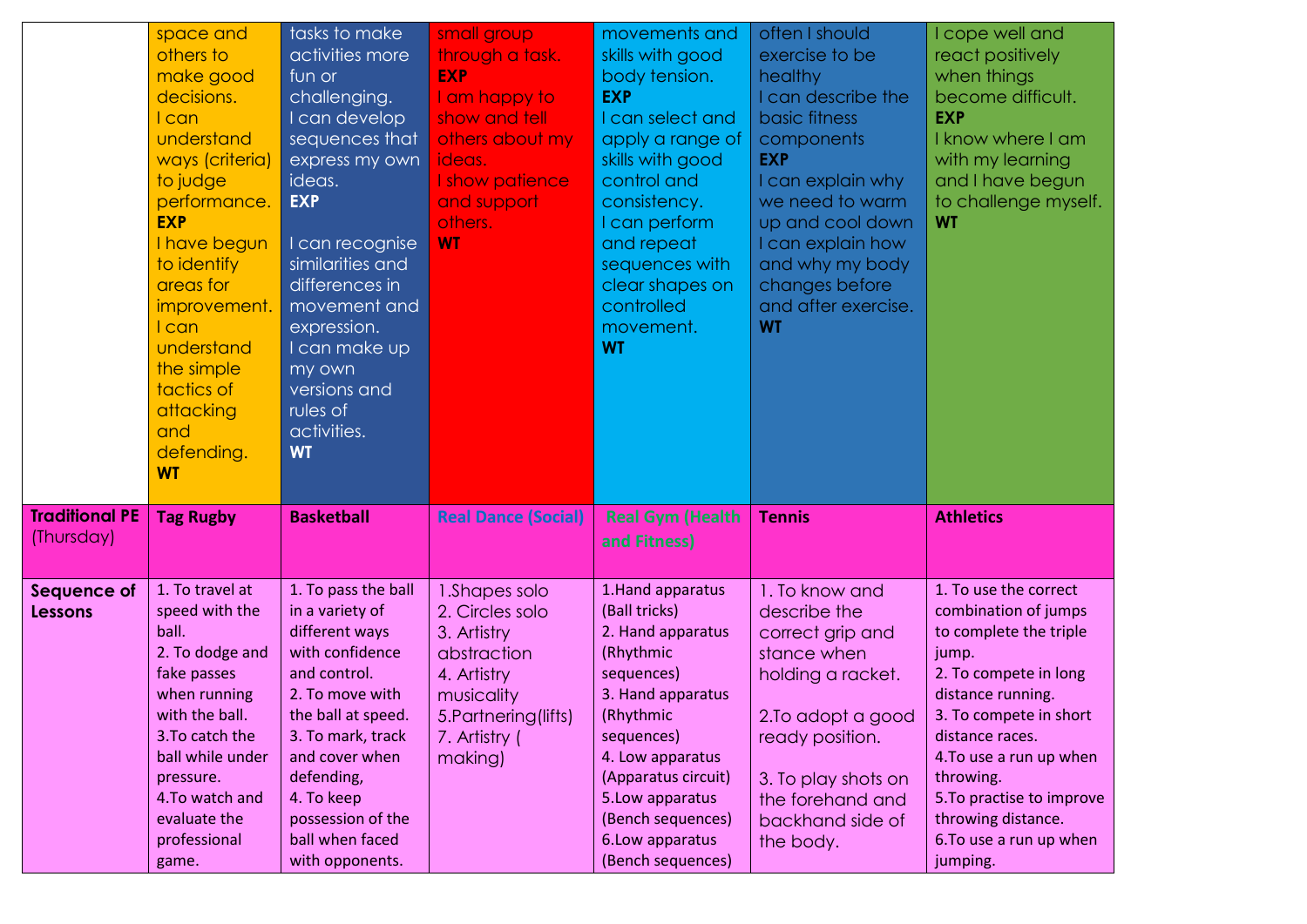|                                     | space and<br>others to<br>make good<br>decisions.<br>I can<br>understand<br>ways (criteria)<br>to judge<br>performance.<br><b>EXP</b><br>I have begun<br>to identify<br>areas for<br>improvement.<br>I can<br>understand<br>the simple<br>tactics of<br>attacking<br>and<br>defending.<br><b>WT</b> | tasks to make<br>activities more<br>fun or<br>challenging.<br>I can develop<br>sequences that<br>express my own<br>ideas.<br><b>EXP</b><br>I can recognise<br>similarities and<br>differences in<br>movement and<br>expression.<br>I can make up<br>my own<br>versions and<br>rules of<br>activities.<br><b>WT</b> | small group<br>through a task.<br><b>EXP</b><br>I am happy to<br>show and tell<br>others about my<br>ideas.<br>I show patience<br>and support<br>others.<br><b>WT</b> | movements and<br>skills with good<br>body tension.<br><b>EXP</b><br>I can select and<br>apply a range of<br>skills with good<br>control and<br>consistency.<br>I can perform<br>and repeat<br>sequences with<br>clear shapes on<br>controlled<br>movement.<br><b>WT</b> | often I should<br>exercise to be<br>healthy<br>I can describe the<br>basic fitness<br>components<br><b>EXP</b><br>I can explain why<br>we need to warm<br>up and cool down<br>I can explain how<br>and why my body<br>changes before<br>and after exercise.<br><b>WT</b> | I cope well and<br>react positively<br>when things<br>become difficult.<br><b>EXP</b><br>I know where I am<br>with my learning<br>and I have begun<br>to challenge myself.<br><b>WT</b>                                                                                                                       |
|-------------------------------------|-----------------------------------------------------------------------------------------------------------------------------------------------------------------------------------------------------------------------------------------------------------------------------------------------------|--------------------------------------------------------------------------------------------------------------------------------------------------------------------------------------------------------------------------------------------------------------------------------------------------------------------|-----------------------------------------------------------------------------------------------------------------------------------------------------------------------|-------------------------------------------------------------------------------------------------------------------------------------------------------------------------------------------------------------------------------------------------------------------------|--------------------------------------------------------------------------------------------------------------------------------------------------------------------------------------------------------------------------------------------------------------------------|---------------------------------------------------------------------------------------------------------------------------------------------------------------------------------------------------------------------------------------------------------------------------------------------------------------|
| <b>Traditional PE</b><br>(Thursday) | <b>Tag Rugby</b>                                                                                                                                                                                                                                                                                    | <b>Basketball</b>                                                                                                                                                                                                                                                                                                  | <b>Real Dance (Social)</b>                                                                                                                                            | <b>Real Gym (Health</b><br>and Fitness)                                                                                                                                                                                                                                 | <b>Tennis</b>                                                                                                                                                                                                                                                            | <b>Athletics</b>                                                                                                                                                                                                                                                                                              |
| Sequence of<br>Lessons              | 1. To travel at<br>speed with the<br>ball.<br>2. To dodge and<br>fake passes<br>when running<br>with the ball.<br>3. To catch the<br>ball while under<br>pressure.<br>4. To watch and<br>evaluate the<br>professional<br>game.                                                                      | 1. To pass the ball<br>in a variety of<br>different ways<br>with confidence<br>and control.<br>2. To move with<br>the ball at speed.<br>3. To mark, track<br>and cover when<br>defending,<br>4. To keep<br>possession of the<br>ball when faced<br>with opponents.                                                 | 1. Shapes solo<br>2. Circles solo<br>3. Artistry<br>abstraction<br>4. Artistry<br>musicality<br>5. Partnering (lifts)<br>7. Artistry (<br>making)                     | 1. Hand apparatus<br>(Ball tricks)<br>2. Hand apparatus<br>(Rhythmic<br>sequences)<br>3. Hand apparatus<br>(Rhythmic<br>sequences)<br>4. Low apparatus<br>(Apparatus circuit)<br>5. Low apparatus<br>(Bench sequences)<br>6. Low apparatus<br>(Bench sequences)         | 1. To know and<br>describe the<br>correct grip and<br>stance when<br>holding a racket.<br>2. To adopt a good<br>ready position.<br>3. To play shots on<br>the forehand and<br>backhand side of<br>the body.                                                              | 1. To use the correct<br>combination of jumps<br>to complete the triple<br>jump.<br>2. To compete in long<br>distance running.<br>3. To compete in short<br>distance races.<br>4. To use a run up when<br>throwing.<br>5. To practise to improve<br>throwing distance.<br>6. To use a run up when<br>jumping. |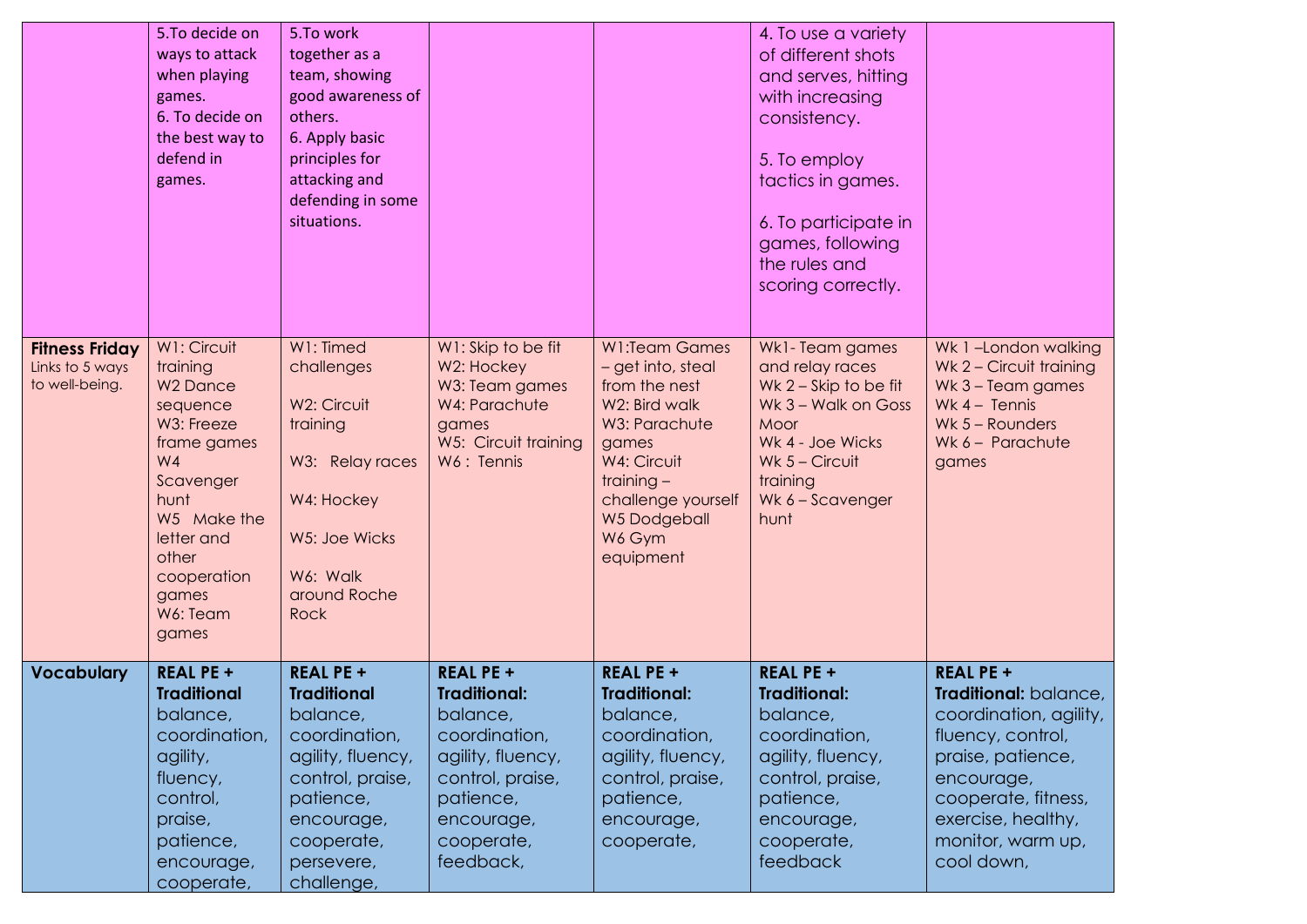|                                                            | 5.To decide on<br>ways to attack<br>when playing<br>games.<br>6. To decide on<br>the best way to<br>defend in<br>games.                                                                                      | 5.To work<br>together as a<br>team, showing<br>good awareness of<br>others.<br>6. Apply basic<br>principles for<br>attacking and<br>defending in some<br>situations.              |                                                                                                                                                                     |                                                                                                                                                                                                   | 4. To use a variety<br>of different shots<br>and serves, hitting<br>with increasing<br>consistency.<br>5. To employ<br>tactics in games.<br>6. To participate in<br>games, following<br>the rules and<br>scoring correctly. |                                                                                                                                                                                                             |
|------------------------------------------------------------|--------------------------------------------------------------------------------------------------------------------------------------------------------------------------------------------------------------|-----------------------------------------------------------------------------------------------------------------------------------------------------------------------------------|---------------------------------------------------------------------------------------------------------------------------------------------------------------------|---------------------------------------------------------------------------------------------------------------------------------------------------------------------------------------------------|-----------------------------------------------------------------------------------------------------------------------------------------------------------------------------------------------------------------------------|-------------------------------------------------------------------------------------------------------------------------------------------------------------------------------------------------------------|
| <b>Fitness Friday</b><br>Links to 5 ways<br>to well-being. | W1: Circuit<br>training<br><b>W<sub>2</sub></b> Dance<br>sequence<br>W3: Freeze<br>frame games<br>W4<br>Scavenger<br>hunt<br>W5 Make the<br>letter and<br>other<br>cooperation<br>games<br>W6: Team<br>games | W1: Timed<br>challenges<br>W2: Circuit<br>training<br>W3: Relay races<br>W4: Hockey<br>W5: Joe Wicks<br>W6: Walk<br>around Roche<br>Rock                                          | W1: Skip to be fit<br>W2: Hockey<br>W3: Team games<br>W4: Parachute<br>games<br>W5: Circuit training<br>W6: Tennis                                                  | <b>W1:Team Games</b><br>- get into, steal<br>from the nest<br>W2: Bird walk<br>W3: Parachute<br>games<br>W4: Circuit<br>training $-$<br>challenge yourself<br>W5 Dodgeball<br>W6 Gym<br>equipment | Wk1-Team games<br>and relay races<br>Wk 2 - Skip to be fit<br>Wk 3 - Walk on Goss<br>Moor<br>Wk 4 - Joe Wicks<br>Wk $5 -$ Circuit<br>training<br>Wk 6 - Scavenger<br>hunt                                                   | Wk 1-London walking<br>Wk 2 - Circuit training<br>Wk 3 - Team games<br>Wk $4 -$ Tennis<br>Wk $5 -$ Rounders<br>Wk 6 - Parachute<br>games                                                                    |
| <b>Vocabulary</b>                                          | <b>REAL PE +</b><br><b>Traditional</b><br>balance,<br>coordination,<br>agility,<br>fluency,<br>control,<br>praise,<br>patience,<br>encourage,<br>cooperate,                                                  | <b>REAL PE +</b><br><b>Traditional</b><br>balance,<br>coordination,<br>agility, fluency,<br>control, praise,<br>patience,<br>encourage,<br>cooperate,<br>persevere,<br>challenge, | <b>REAL PE +</b><br><b>Traditional:</b><br>balance,<br>coordination,<br>agility, fluency,<br>control, praise,<br>patience,<br>encourage,<br>cooperate,<br>feedback, | <b>REAL PE +</b><br><b>Traditional:</b><br>balance,<br>coordination,<br>agility, fluency,<br>control, praise,<br>patience,<br>encourage,<br>cooperate,                                            | <b>REAL PE +</b><br><b>Traditional:</b><br>balance,<br>coordination,<br>agility, fluency,<br>control, praise,<br>patience,<br>encourage,<br>cooperate,<br>feedback                                                          | <b>REAL PE +</b><br>Traditional: balance,<br>coordination, agility,<br>fluency, control,<br>praise, patience,<br>encourage,<br>cooperate, fitness,<br>exercise, healthy,<br>monitor, warm up,<br>cool down, |